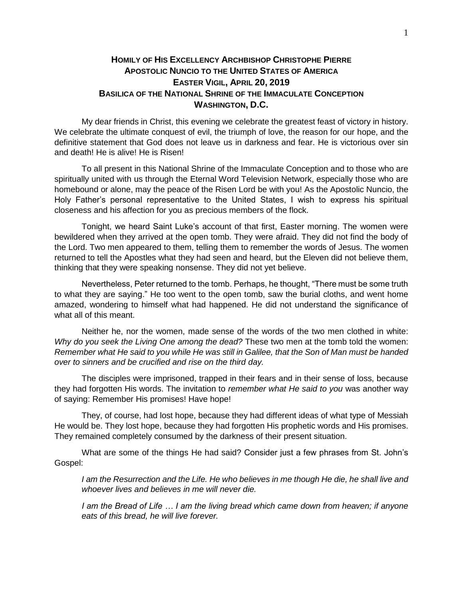## **HOMILY OF HIS EXCELLENCY ARCHBISHOP CHRISTOPHE PIERRE APOSTOLIC NUNCIO TO THE UNITED STATES OF AMERICA EASTER VIGIL, APRIL 20, 2019 BASILICA OF THE NATIONAL SHRINE OF THE IMMACULATE CONCEPTION WASHINGTON, D.C.**

My dear friends in Christ, this evening we celebrate the greatest feast of victory in history. We celebrate the ultimate conquest of evil, the triumph of love, the reason for our hope, and the definitive statement that God does not leave us in darkness and fear. He is victorious over sin and death! He is alive! He is Risen!

To all present in this National Shrine of the Immaculate Conception and to those who are spiritually united with us through the Eternal Word Television Network, especially those who are homebound or alone, may the peace of the Risen Lord be with you! As the Apostolic Nuncio, the Holy Father's personal representative to the United States, I wish to express his spiritual closeness and his affection for you as precious members of the flock.

Tonight, we heard Saint Luke's account of that first, Easter morning. The women were bewildered when they arrived at the open tomb. They were afraid. They did not find the body of the Lord. Two men appeared to them, telling them to remember the words of Jesus. The women returned to tell the Apostles what they had seen and heard, but the Eleven did not believe them, thinking that they were speaking nonsense. They did not yet believe.

Nevertheless, Peter returned to the tomb. Perhaps, he thought, "There must be some truth to what they are saying." He too went to the open tomb, saw the burial cloths, and went home amazed, wondering to himself what had happened. He did not understand the significance of what all of this meant.

Neither he, nor the women, made sense of the words of the two men clothed in white: *Why do you seek the Living One among the dead?* These two men at the tomb told the women: *Remember what He said to you while He was still in Galilee, that the Son of Man must be handed over to sinners and be crucified and rise on the third day.*

The disciples were imprisoned, trapped in their fears and in their sense of loss, because they had forgotten His words. The invitation to *remember what He said to you* was another way of saying: Remember His promises! Have hope!

They, of course, had lost hope, because they had different ideas of what type of Messiah He would be. They lost hope, because they had forgotten His prophetic words and His promises. They remained completely consumed by the darkness of their present situation.

What are some of the things He had said? Consider just a few phrases from St. John's Gospel:

*I am the Resurrection and the Life. He who believes in me though He die, he shall live and whoever lives and believes in me will never die.*

*I am the Bread of Life ... I am the living bread which came down from heaven; if anyone eats of this bread, he will live forever.*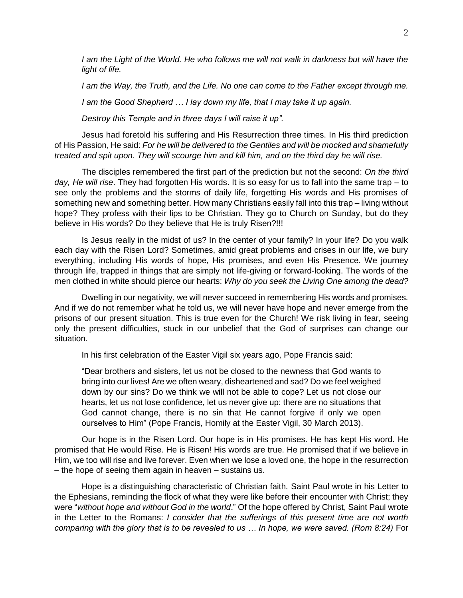*I* am the Light of the World. He who follows me will not walk in darkness but will have the *light of life.*

*I am the Way, the Truth, and the Life. No one can come to the Father except through me.*

*I am the Good Shepherd … I lay down my life, that I may take it up again.*

*Destroy this Temple and in three days I will raise it up".*

Jesus had foretold his suffering and His Resurrection three times. In His third prediction of His Passion, He said: *For he will be delivered to the Gentiles and will be mocked and shamefully treated and spit upon. They will scourge him and kill him, and on the third day he will rise.*

The disciples remembered the first part of the prediction but not the second: *On the third day, He will rise*. They had forgotten His words. It is so easy for us to fall into the same trap – to see only the problems and the storms of daily life, forgetting His words and His promises of something new and something better. How many Christians easily fall into this trap – living without hope? They profess with their lips to be Christian. They go to Church on Sunday, but do they believe in His words? Do they believe that He is truly Risen?!!!

Is Jesus really in the midst of us? In the center of your family? In your life? Do you walk each day with the Risen Lord? Sometimes, amid great problems and crises in our life, we bury everything, including His words of hope, His promises, and even His Presence. We journey through life, trapped in things that are simply not life-giving or forward-looking. The words of the men clothed in white should pierce our hearts: *Why do you seek the Living One among the dead?*

Dwelling in our negativity, we will never succeed in remembering His words and promises. And if we do not remember what he told us, we will never have hope and never emerge from the prisons of our present situation. This is true even for the Church! We risk living in fear, seeing only the present difficulties, stuck in our unbelief that the God of surprises can change our situation.

In his first celebration of the Easter Vigil six years ago, Pope Francis said:

"Dear brothers and sisters, let us not be closed to the newness that God wants to bring into our lives! Are we often weary, disheartened and sad? Do we feel weighed down by our sins? Do we think we will not be able to cope? Let us not close our hearts, let us not lose confidence, let us never give up: there are no situations that God cannot change, there is no sin that He cannot forgive if only we open ourselves to Him" (Pope Francis, Homily at the Easter Vigil, 30 March 2013).

Our hope is in the Risen Lord. Our hope is in His promises. He has kept His word. He promised that He would Rise. He is Risen! His words are true. He promised that if we believe in Him, we too will rise and live forever. Even when we lose a loved one, the hope in the resurrection – the hope of seeing them again in heaven – sustains us.

Hope is a distinguishing characteristic of Christian faith. Saint Paul wrote in his Letter to the Ephesians, reminding the flock of what they were like before their encounter with Christ; they were "*without hope and without God in the world*." Of the hope offered by Christ, Saint Paul wrote in the Letter to the Romans: *I consider that the sufferings of this present time are not worth comparing with the glory that is to be revealed to us … In hope, we were saved. (Rom 8:24)* For